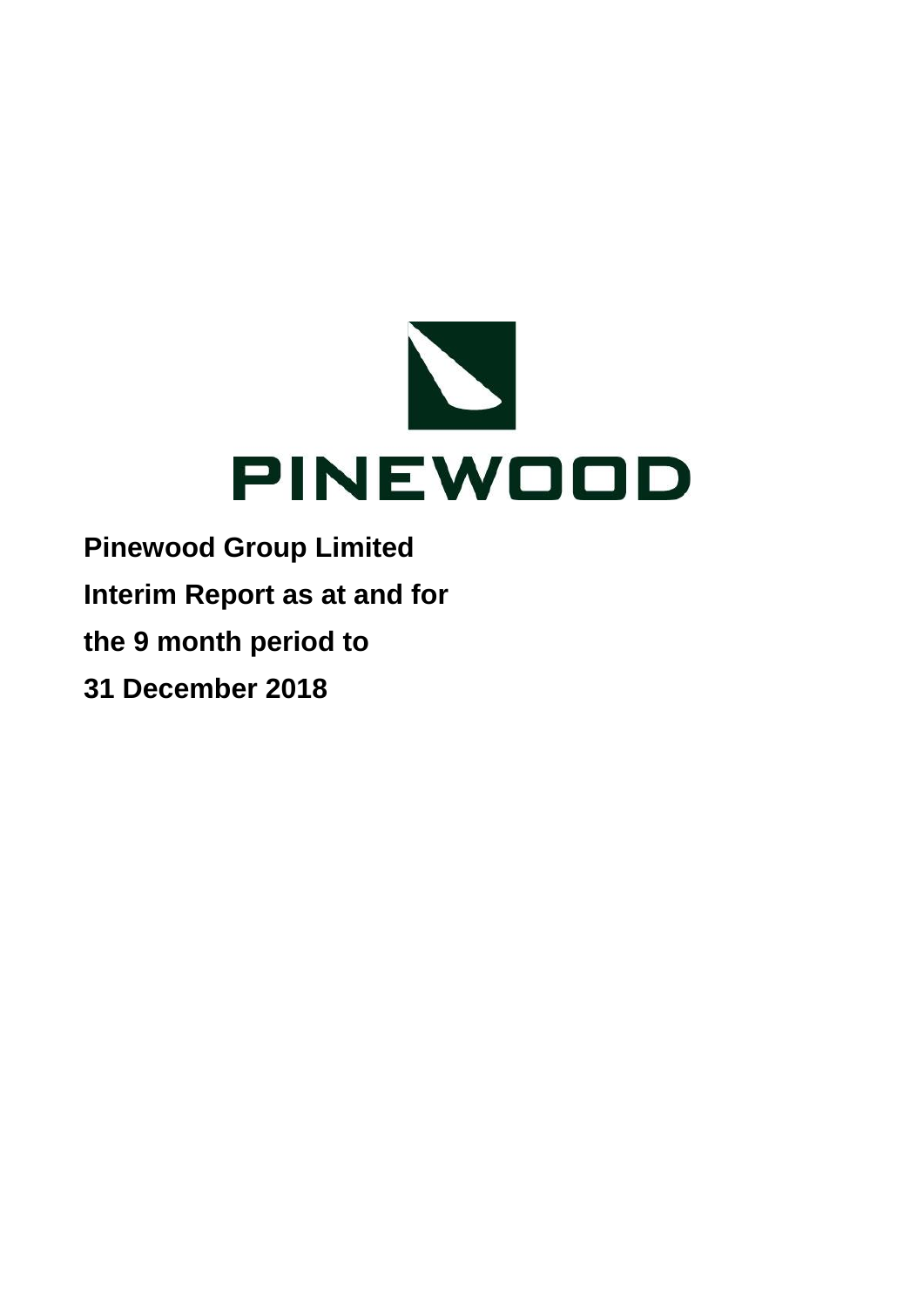

**Interim Report as at and for**

**the 9 month period to**

**31 December 2018**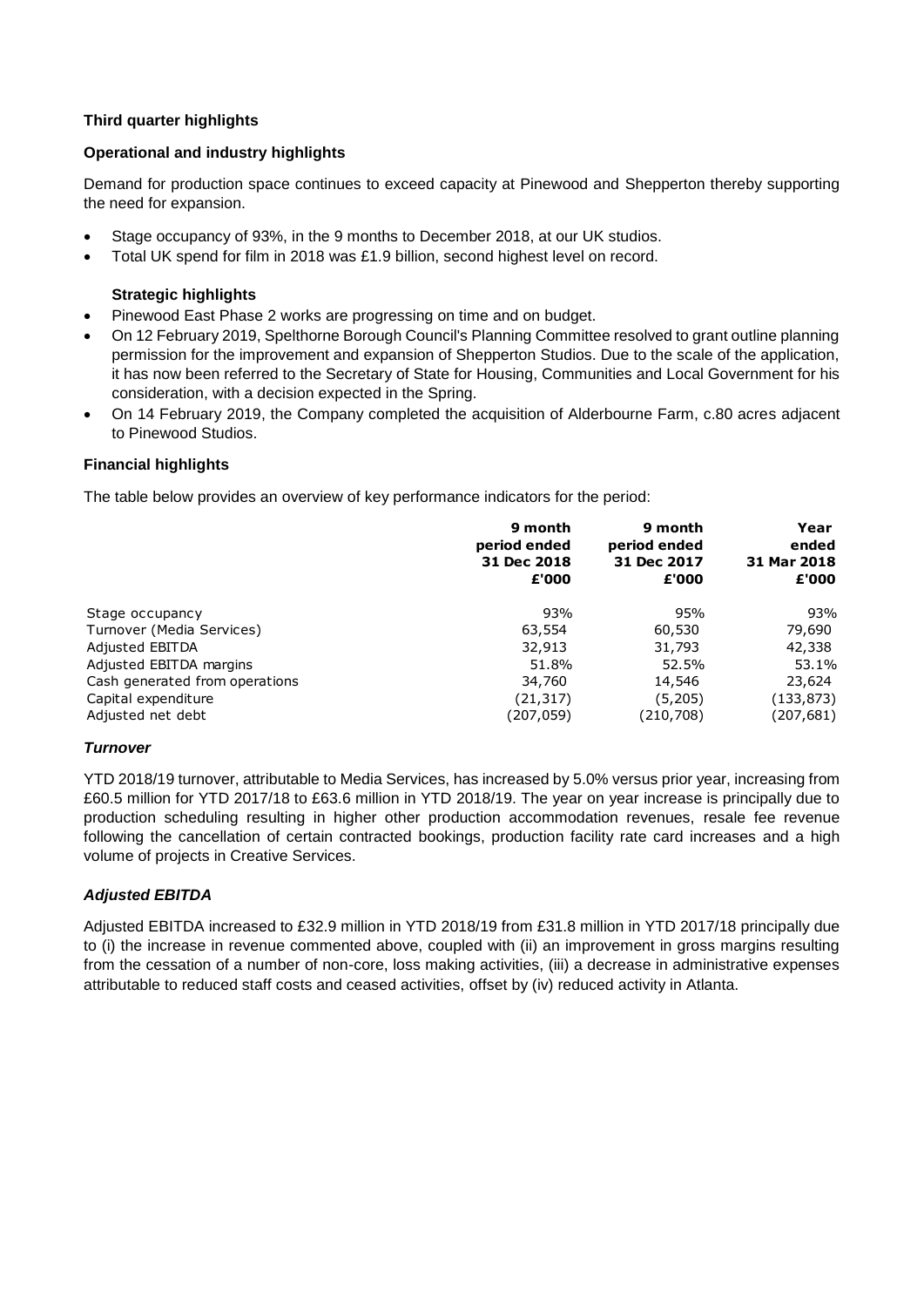# **Third quarter highlights**

### **Operational and industry highlights**

Demand for production space continues to exceed capacity at Pinewood and Shepperton thereby supporting the need for expansion.

- Stage occupancy of 93%, in the 9 months to December 2018, at our UK studios.
- Total UK spend for film in 2018 was £1.9 billion, second highest level on record.

# **Strategic highlights**

- Pinewood East Phase 2 works are progressing on time and on budget.
- On 12 February 2019, Spelthorne Borough Council's Planning Committee resolved to grant outline planning permission for the improvement and expansion of Shepperton Studios. Due to the scale of the application, it has now been referred to the Secretary of State for Housing, Communities and Local Government for his consideration, with a decision expected in the Spring.
- On 14 February 2019, the Company completed the acquisition of Alderbourne Farm, c.80 acres adjacent to Pinewood Studios.

### **Financial highlights**

The table below provides an overview of key performance indicators for the period:

|                                          | 9 month<br>period ended<br>31 Dec 2018<br>£'000 | 9 month<br>period ended<br>31 Dec 2017<br>£'000 | Year<br>ended<br>31 Mar 2018<br>£'000 |
|------------------------------------------|-------------------------------------------------|-------------------------------------------------|---------------------------------------|
| Stage occupancy                          | 93%                                             | 95%                                             | 93%                                   |
| Turnover (Media Services)                | 63,554                                          | 60,530                                          | 79,690                                |
| Adjusted EBITDA                          | 32,913                                          | 31,793                                          | 42,338                                |
| Adjusted EBITDA margins                  | 51.8%                                           | 52.5%                                           | 53.1%                                 |
| Cash generated from operations           | 34,760                                          | 14,546                                          | 23,624                                |
| Capital expenditure<br>Adjusted net debt | (21, 317)<br>(207,059)                          | (5,205)<br>(210,708)                            | (133, 873)<br>(207,681)               |

### *Turnover*

YTD 2018/19 turnover, attributable to Media Services, has increased by 5.0% versus prior year, increasing from £60.5 million for YTD 2017/18 to £63.6 million in YTD 2018/19. The year on year increase is principally due to production scheduling resulting in higher other production accommodation revenues, resale fee revenue following the cancellation of certain contracted bookings, production facility rate card increases and a high volume of projects in Creative Services.

### *Adjusted EBITDA*

Adjusted EBITDA increased to £32.9 million in YTD 2018/19 from £31.8 million in YTD 2017/18 principally due to (i) the increase in revenue commented above, coupled with (ii) an improvement in gross margins resulting from the cessation of a number of non-core, loss making activities, (iii) a decrease in administrative expenses attributable to reduced staff costs and ceased activities, offset by (iv) reduced activity in Atlanta.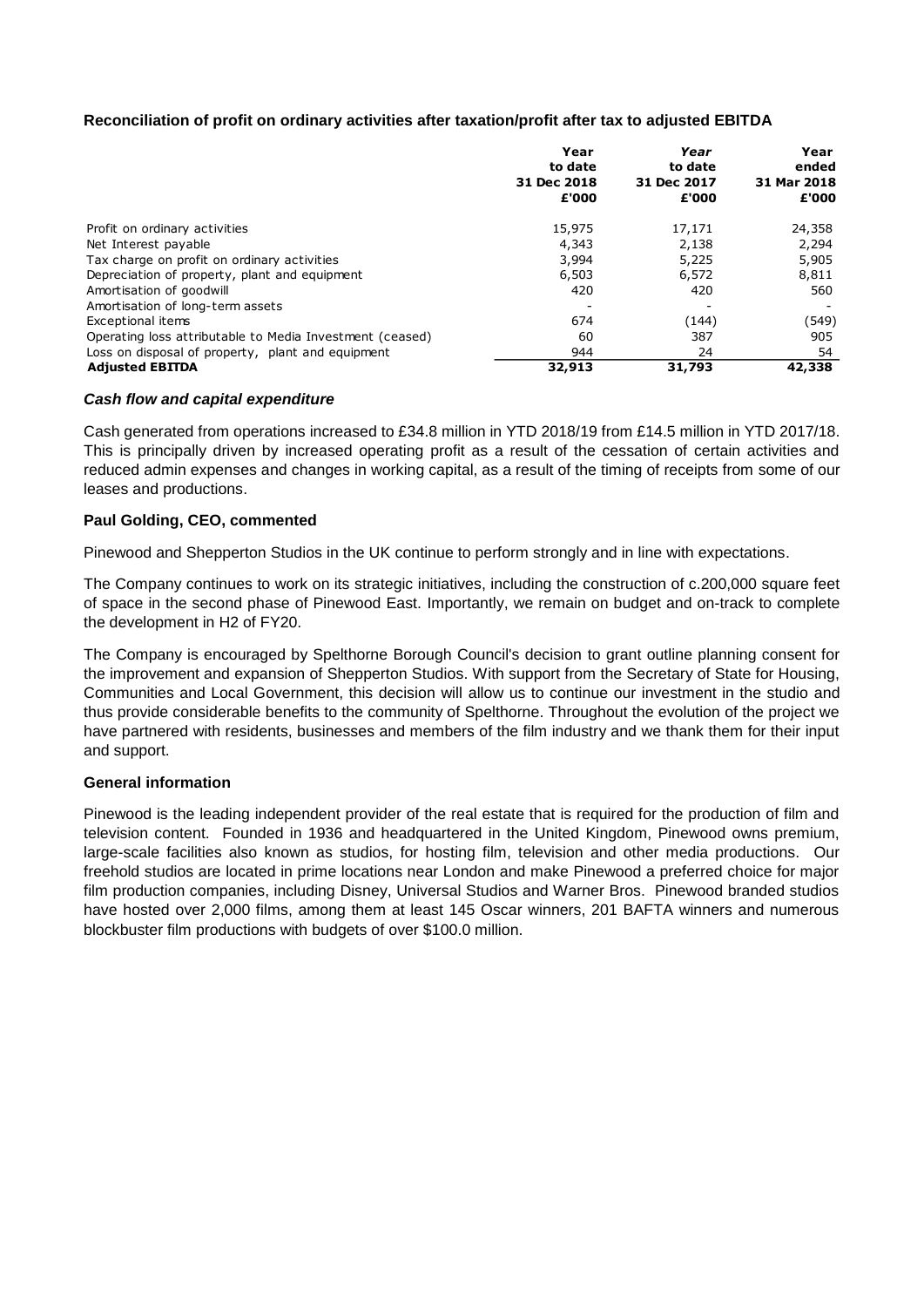## **Reconciliation of profit on ordinary activities after taxation/profit after tax to adjusted EBITDA**

|                                                          | Year<br>to date | Year        | Year<br>ended |
|----------------------------------------------------------|-----------------|-------------|---------------|
|                                                          |                 | to date     |               |
|                                                          | 31 Dec 2018     | 31 Dec 2017 | 31 Mar 2018   |
|                                                          | £'000           | £'000       | £'000         |
| Profit on ordinary activities                            | 15,975          | 17,171      | 24,358        |
| Net Interest payable                                     | 4,343           | 2,138       | 2,294         |
| Tax charge on profit on ordinary activities              | 3,994           | 5,225       | 5,905         |
| Depreciation of property, plant and equipment            | 6,503           | 6,572       | 8,811         |
| Amortisation of goodwill                                 | 420             | 420         | 560           |
| Amortisation of long-term assets                         |                 |             |               |
| Exceptional items                                        | 674             | (144)       | (549)         |
| Operating loss attributable to Media Investment (ceased) | 60              | 387         | 905           |
| Loss on disposal of property, plant and equipment        | 944             | 24          | 54            |
| <b>Adjusted EBITDA</b>                                   | 32,913          | 31,793      | 42,338        |

### *Cash flow and capital expenditure*

Cash generated from operations increased to £34.8 million in YTD 2018/19 from £14.5 million in YTD 2017/18. This is principally driven by increased operating profit as a result of the cessation of certain activities and reduced admin expenses and changes in working capital, as a result of the timing of receipts from some of our leases and productions.

### **Paul Golding, CEO, commented**

Pinewood and Shepperton Studios in the UK continue to perform strongly and in line with expectations.

The Company continues to work on its strategic initiatives, including the construction of c.200,000 square feet of space in the second phase of Pinewood East. Importantly, we remain on budget and on-track to complete the development in H2 of FY20.

The Company is encouraged by Spelthorne Borough Council's decision to grant outline planning consent for the improvement and expansion of Shepperton Studios. With support from the Secretary of State for Housing, Communities and Local Government, this decision will allow us to continue our investment in the studio and thus provide considerable benefits to the community of Spelthorne. Throughout the evolution of the project we have partnered with residents, businesses and members of the film industry and we thank them for their input and support.

### **General information**

Pinewood is the leading independent provider of the real estate that is required for the production of film and television content. Founded in 1936 and headquartered in the United Kingdom, Pinewood owns premium, large-scale facilities also known as studios, for hosting film, television and other media productions. Our freehold studios are located in prime locations near London and make Pinewood a preferred choice for major film production companies, including Disney, Universal Studios and Warner Bros. Pinewood branded studios have hosted over 2,000 films, among them at least 145 Oscar winners, 201 BAFTA winners and numerous blockbuster film productions with budgets of over \$100.0 million.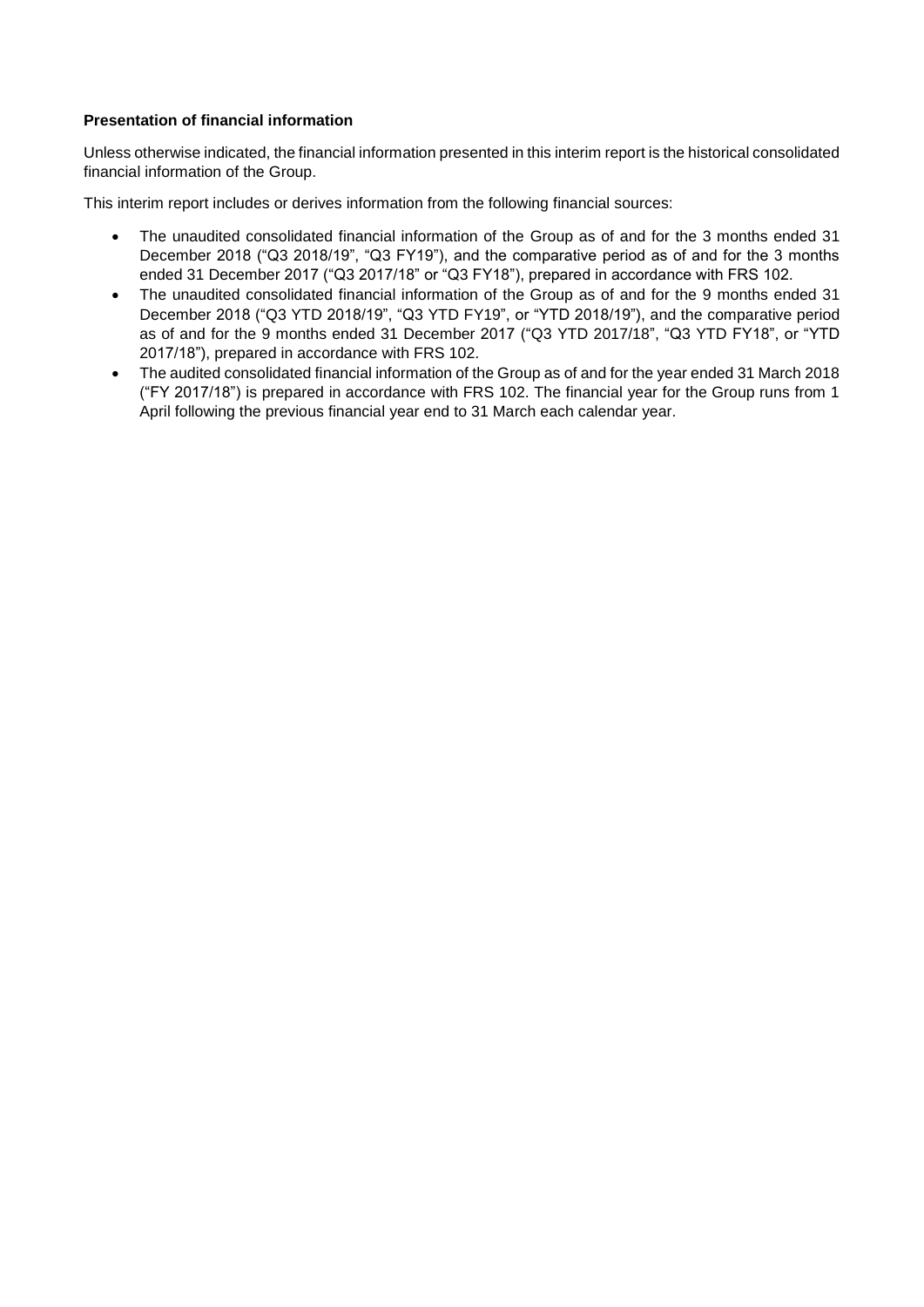# **Presentation of financial information**

Unless otherwise indicated, the financial information presented in this interim report is the historical consolidated financial information of the Group.

This interim report includes or derives information from the following financial sources:

- The unaudited consolidated financial information of the Group as of and for the 3 months ended 31 December 2018 ("Q3 2018/19", "Q3 FY19"), and the comparative period as of and for the 3 months ended 31 December 2017 ("Q3 2017/18" or "Q3 FY18"), prepared in accordance with FRS 102.
- The unaudited consolidated financial information of the Group as of and for the 9 months ended 31 December 2018 ("Q3 YTD 2018/19", "Q3 YTD FY19", or "YTD 2018/19"), and the comparative period as of and for the 9 months ended 31 December 2017 ("Q3 YTD 2017/18", "Q3 YTD FY18", or "YTD 2017/18"), prepared in accordance with FRS 102.
- The audited consolidated financial information of the Group as of and for the year ended 31 March 2018 ("FY 2017/18") is prepared in accordance with FRS 102. The financial year for the Group runs from 1 April following the previous financial year end to 31 March each calendar year.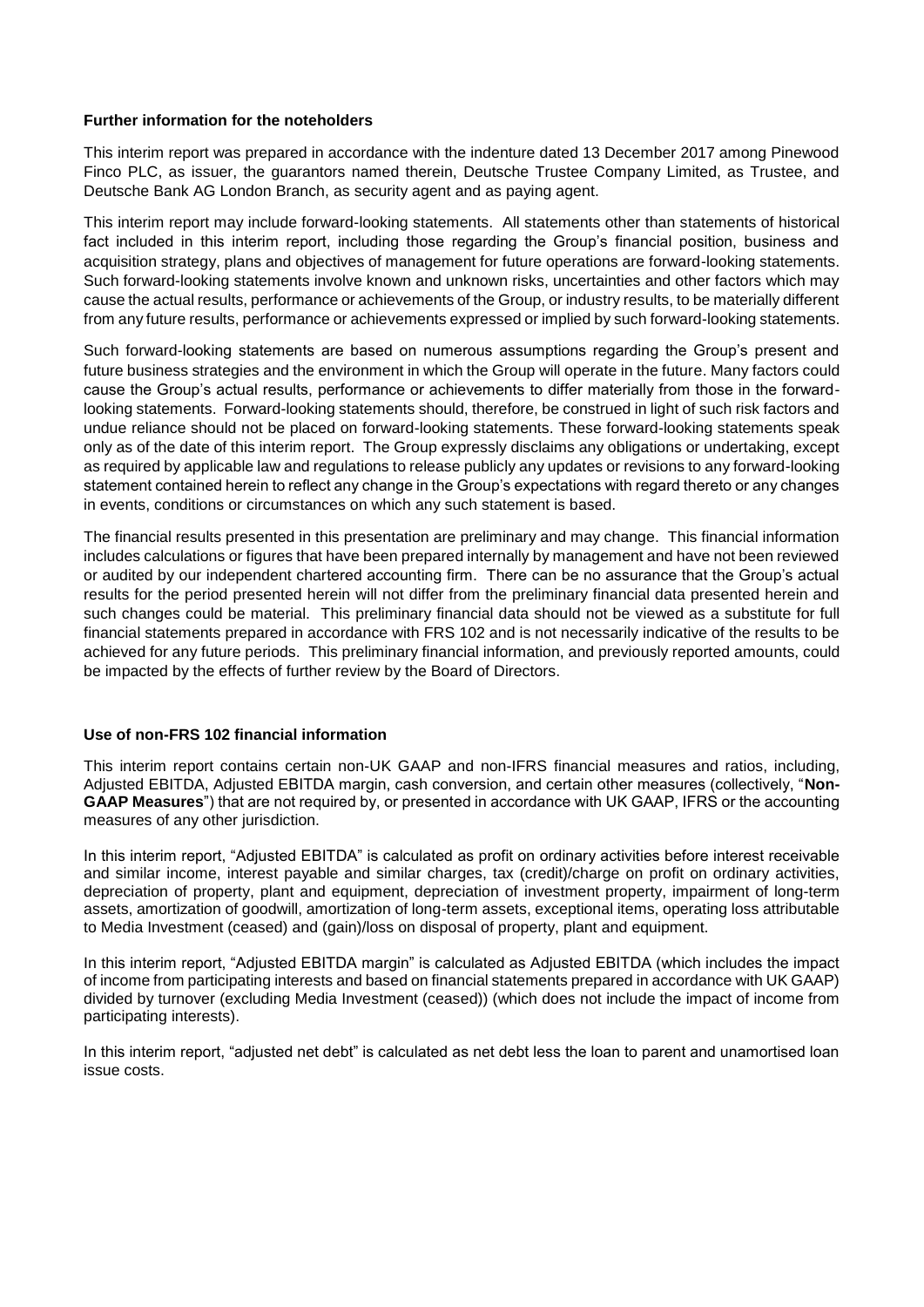### **Further information for the noteholders**

This interim report was prepared in accordance with the indenture dated 13 December 2017 among Pinewood Finco PLC, as issuer, the guarantors named therein, Deutsche Trustee Company Limited, as Trustee, and Deutsche Bank AG London Branch, as security agent and as paying agent.

This interim report may include forward-looking statements. All statements other than statements of historical fact included in this interim report, including those regarding the Group's financial position, business and acquisition strategy, plans and objectives of management for future operations are forward-looking statements. Such forward-looking statements involve known and unknown risks, uncertainties and other factors which may cause the actual results, performance or achievements of the Group, or industry results, to be materially different from any future results, performance or achievements expressed or implied by such forward-looking statements.

Such forward-looking statements are based on numerous assumptions regarding the Group's present and future business strategies and the environment in which the Group will operate in the future. Many factors could cause the Group's actual results, performance or achievements to differ materially from those in the forwardlooking statements. Forward-looking statements should, therefore, be construed in light of such risk factors and undue reliance should not be placed on forward-looking statements. These forward-looking statements speak only as of the date of this interim report. The Group expressly disclaims any obligations or undertaking, except as required by applicable law and regulations to release publicly any updates or revisions to any forward-looking statement contained herein to reflect any change in the Group's expectations with regard thereto or any changes in events, conditions or circumstances on which any such statement is based.

The financial results presented in this presentation are preliminary and may change. This financial information includes calculations or figures that have been prepared internally by management and have not been reviewed or audited by our independent chartered accounting firm. There can be no assurance that the Group's actual results for the period presented herein will not differ from the preliminary financial data presented herein and such changes could be material. This preliminary financial data should not be viewed as a substitute for full financial statements prepared in accordance with FRS 102 and is not necessarily indicative of the results to be achieved for any future periods. This preliminary financial information, and previously reported amounts, could be impacted by the effects of further review by the Board of Directors.

### **Use of non-FRS 102 financial information**

This interim report contains certain non-UK GAAP and non-IFRS financial measures and ratios, including, Adjusted EBITDA, Adjusted EBITDA margin, cash conversion, and certain other measures (collectively, "**Non-GAAP Measures**") that are not required by, or presented in accordance with UK GAAP, IFRS or the accounting measures of any other jurisdiction.

In this interim report, "Adjusted EBITDA" is calculated as profit on ordinary activities before interest receivable and similar income, interest payable and similar charges, tax (credit)/charge on profit on ordinary activities, depreciation of property, plant and equipment, depreciation of investment property, impairment of long-term assets, amortization of goodwill, amortization of long-term assets, exceptional items, operating loss attributable to Media Investment (ceased) and (gain)/loss on disposal of property, plant and equipment.

In this interim report, "Adjusted EBITDA margin" is calculated as Adjusted EBITDA (which includes the impact of income from participating interests and based on financial statements prepared in accordance with UK GAAP) divided by turnover (excluding Media Investment (ceased)) (which does not include the impact of income from participating interests).

In this interim report, "adjusted net debt" is calculated as net debt less the loan to parent and unamortised loan issue costs.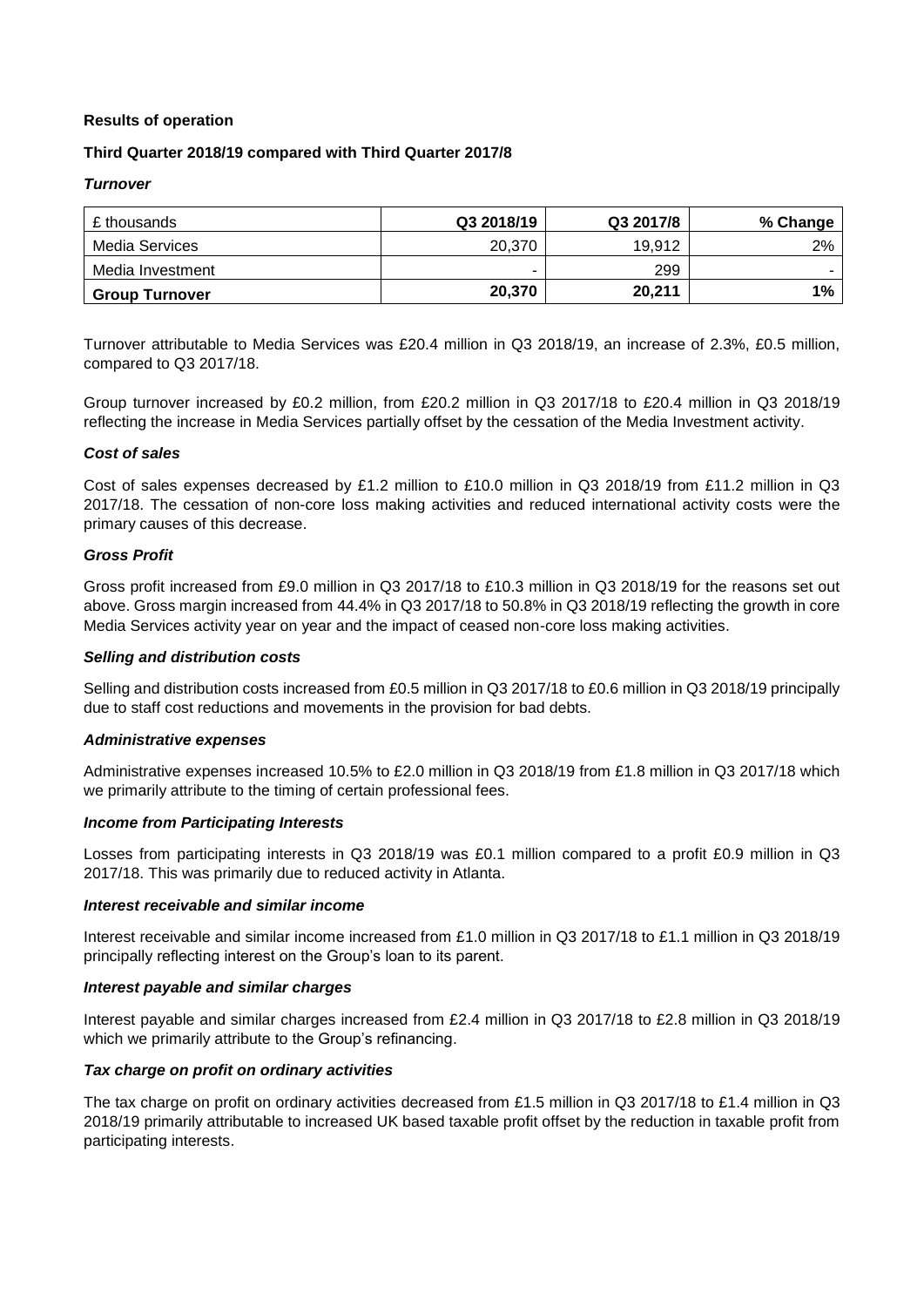### **Results of operation**

### **Third Quarter 2018/19 compared with Third Quarter 2017/8**

#### *Turnover*

| £ thousands           | Q3 2018/19 | Q3 2017/8 | % Change |
|-----------------------|------------|-----------|----------|
| Media Services        | 20,370     | 19.912    | 2%       |
| Media Investment      | -          | 299       |          |
| <b>Group Turnover</b> | 20,370     | 20,211    | $1\%$    |

Turnover attributable to Media Services was £20.4 million in Q3 2018/19, an increase of 2.3%, £0.5 million, compared to Q3 2017/18.

Group turnover increased by £0.2 million, from £20.2 million in Q3 2017/18 to £20.4 million in Q3 2018/19 reflecting the increase in Media Services partially offset by the cessation of the Media Investment activity.

#### *Cost of sales*

Cost of sales expenses decreased by £1.2 million to £10.0 million in Q3 2018/19 from £11.2 million in Q3 2017/18. The cessation of non-core loss making activities and reduced international activity costs were the primary causes of this decrease.

### *Gross Profit*

Gross profit increased from £9.0 million in Q3 2017/18 to £10.3 million in Q3 2018/19 for the reasons set out above. Gross margin increased from 44.4% in Q3 2017/18 to 50.8% in Q3 2018/19 reflecting the growth in core Media Services activity year on year and the impact of ceased non-core loss making activities.

#### *Selling and distribution costs*

Selling and distribution costs increased from £0.5 million in Q3 2017/18 to £0.6 million in Q3 2018/19 principally due to staff cost reductions and movements in the provision for bad debts.

#### *Administrative expenses*

Administrative expenses increased 10.5% to £2.0 million in Q3 2018/19 from £1.8 million in Q3 2017/18 which we primarily attribute to the timing of certain professional fees.

#### *Income from Participating Interests*

Losses from participating interests in Q3 2018/19 was £0.1 million compared to a profit £0.9 million in Q3 2017/18. This was primarily due to reduced activity in Atlanta.

#### *Interest receivable and similar income*

Interest receivable and similar income increased from £1.0 million in Q3 2017/18 to £1.1 million in Q3 2018/19 principally reflecting interest on the Group's loan to its parent.

#### *Interest payable and similar charges*

Interest payable and similar charges increased from £2.4 million in Q3 2017/18 to £2.8 million in Q3 2018/19 which we primarily attribute to the Group's refinancing.

#### *Tax charge on profit on ordinary activities*

The tax charge on profit on ordinary activities decreased from £1.5 million in Q3 2017/18 to £1.4 million in Q3 2018/19 primarily attributable to increased UK based taxable profit offset by the reduction in taxable profit from participating interests.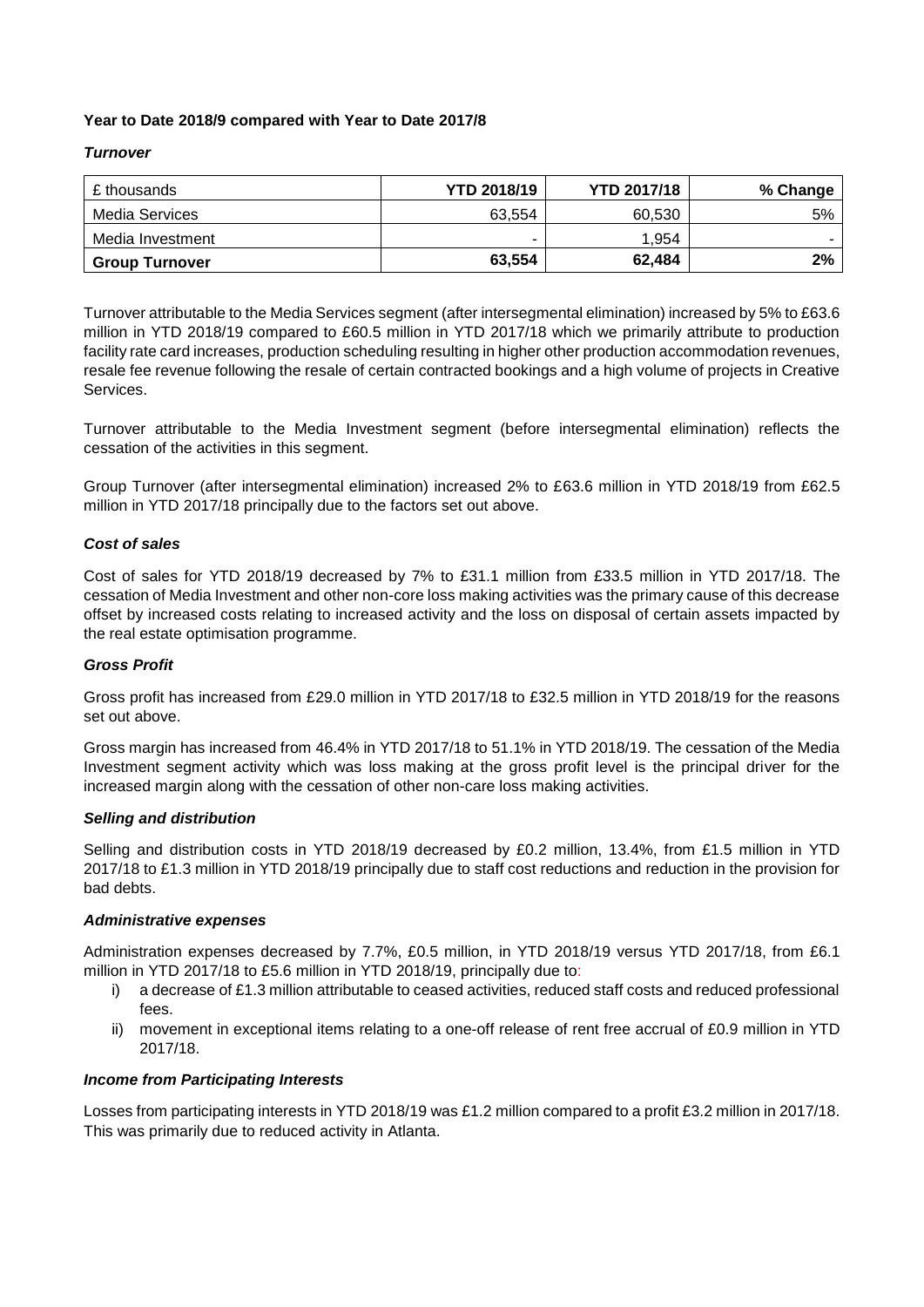## **Year to Date 2018/9 compared with Year to Date 2017/8**

### *Turnover*

| £ thousands           | <b>YTD 2018/19</b> | <b>YTD 2017/18</b> | % Change |
|-----------------------|--------------------|--------------------|----------|
| Media Services        | 63,554             | 60,530             | 5%       |
| Media Investment      | -                  | 1,954              |          |
| <b>Group Turnover</b> | 63,554             | 62,484             | 2%       |

Turnover attributable to the Media Services segment (after intersegmental elimination) increased by 5% to £63.6 million in YTD 2018/19 compared to £60.5 million in YTD 2017/18 which we primarily attribute to production facility rate card increases, production scheduling resulting in higher other production accommodation revenues, resale fee revenue following the resale of certain contracted bookings and a high volume of projects in Creative Services.

Turnover attributable to the Media Investment segment (before intersegmental elimination) reflects the cessation of the activities in this segment.

Group Turnover (after intersegmental elimination) increased 2% to £63.6 million in YTD 2018/19 from £62.5 million in YTD 2017/18 principally due to the factors set out above.

### *Cost of sales*

Cost of sales for YTD 2018/19 decreased by 7% to £31.1 million from £33.5 million in YTD 2017/18. The cessation of Media Investment and other non-core loss making activities was the primary cause of this decrease offset by increased costs relating to increased activity and the loss on disposal of certain assets impacted by the real estate optimisation programme.

### *Gross Profit*

Gross profit has increased from £29.0 million in YTD 2017/18 to £32.5 million in YTD 2018/19 for the reasons set out above.

Gross margin has increased from 46.4% in YTD 2017/18 to 51.1% in YTD 2018/19. The cessation of the Media Investment segment activity which was loss making at the gross profit level is the principal driver for the increased margin along with the cessation of other non-care loss making activities.

#### *Selling and distribution*

Selling and distribution costs in YTD 2018/19 decreased by £0.2 million, 13.4%, from £1.5 million in YTD 2017/18 to £1.3 million in YTD 2018/19 principally due to staff cost reductions and reduction in the provision for bad debts.

#### *Administrative expenses*

Administration expenses decreased by 7.7%, £0.5 million, in YTD 2018/19 versus YTD 2017/18, from £6.1 million in YTD 2017/18 to £5.6 million in YTD 2018/19, principally due to:

- i) a decrease of £1.3 million attributable to ceased activities, reduced staff costs and reduced professional fees.
- ii) movement in exceptional items relating to a one-off release of rent free accrual of £0.9 million in YTD 2017/18.

#### *Income from Participating Interests*

Losses from participating interests in YTD 2018/19 was £1.2 million compared to a profit £3.2 million in 2017/18. This was primarily due to reduced activity in Atlanta.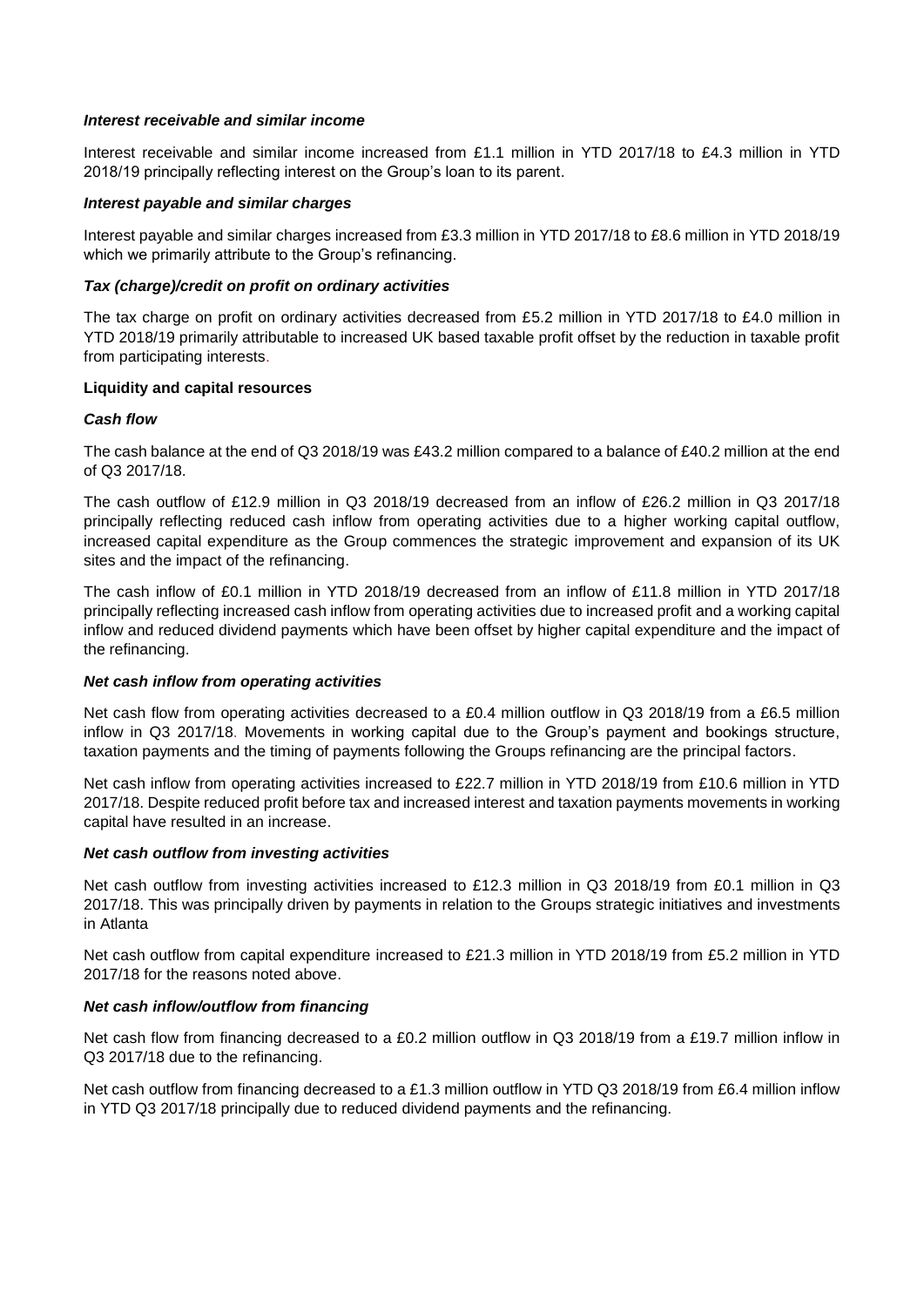#### *Interest receivable and similar income*

Interest receivable and similar income increased from £1.1 million in YTD 2017/18 to £4.3 million in YTD 2018/19 principally reflecting interest on the Group's loan to its parent.

### *Interest payable and similar charges*

Interest payable and similar charges increased from £3.3 million in YTD 2017/18 to £8.6 million in YTD 2018/19 which we primarily attribute to the Group's refinancing.

### *Tax (charge)/credit on profit on ordinary activities*

The tax charge on profit on ordinary activities decreased from £5.2 million in YTD 2017/18 to £4.0 million in YTD 2018/19 primarily attributable to increased UK based taxable profit offset by the reduction in taxable profit from participating interests.

### **Liquidity and capital resources**

### *Cash flow*

The cash balance at the end of Q3 2018/19 was £43.2 million compared to a balance of £40.2 million at the end of Q3 2017/18.

The cash outflow of £12.9 million in Q3 2018/19 decreased from an inflow of £26.2 million in Q3 2017/18 principally reflecting reduced cash inflow from operating activities due to a higher working capital outflow, increased capital expenditure as the Group commences the strategic improvement and expansion of its UK sites and the impact of the refinancing.

The cash inflow of £0.1 million in YTD 2018/19 decreased from an inflow of £11.8 million in YTD 2017/18 principally reflecting increased cash inflow from operating activities due to increased profit and a working capital inflow and reduced dividend payments which have been offset by higher capital expenditure and the impact of the refinancing.

#### *Net cash inflow from operating activities*

Net cash flow from operating activities decreased to a £0.4 million outflow in Q3 2018/19 from a £6.5 million inflow in Q3 2017/18. Movements in working capital due to the Group's payment and bookings structure, taxation payments and the timing of payments following the Groups refinancing are the principal factors.

Net cash inflow from operating activities increased to £22.7 million in YTD 2018/19 from £10.6 million in YTD 2017/18. Despite reduced profit before tax and increased interest and taxation payments movements in working capital have resulted in an increase.

### *Net cash outflow from investing activities*

Net cash outflow from investing activities increased to £12.3 million in Q3 2018/19 from £0.1 million in Q3 2017/18. This was principally driven by payments in relation to the Groups strategic initiatives and investments in Atlanta

Net cash outflow from capital expenditure increased to £21.3 million in YTD 2018/19 from £5.2 million in YTD 2017/18 for the reasons noted above.

### *Net cash inflow/outflow from financing*

Net cash flow from financing decreased to a £0.2 million outflow in Q3 2018/19 from a £19.7 million inflow in Q3 2017/18 due to the refinancing.

Net cash outflow from financing decreased to a £1.3 million outflow in YTD Q3 2018/19 from £6.4 million inflow in YTD Q3 2017/18 principally due to reduced dividend payments and the refinancing.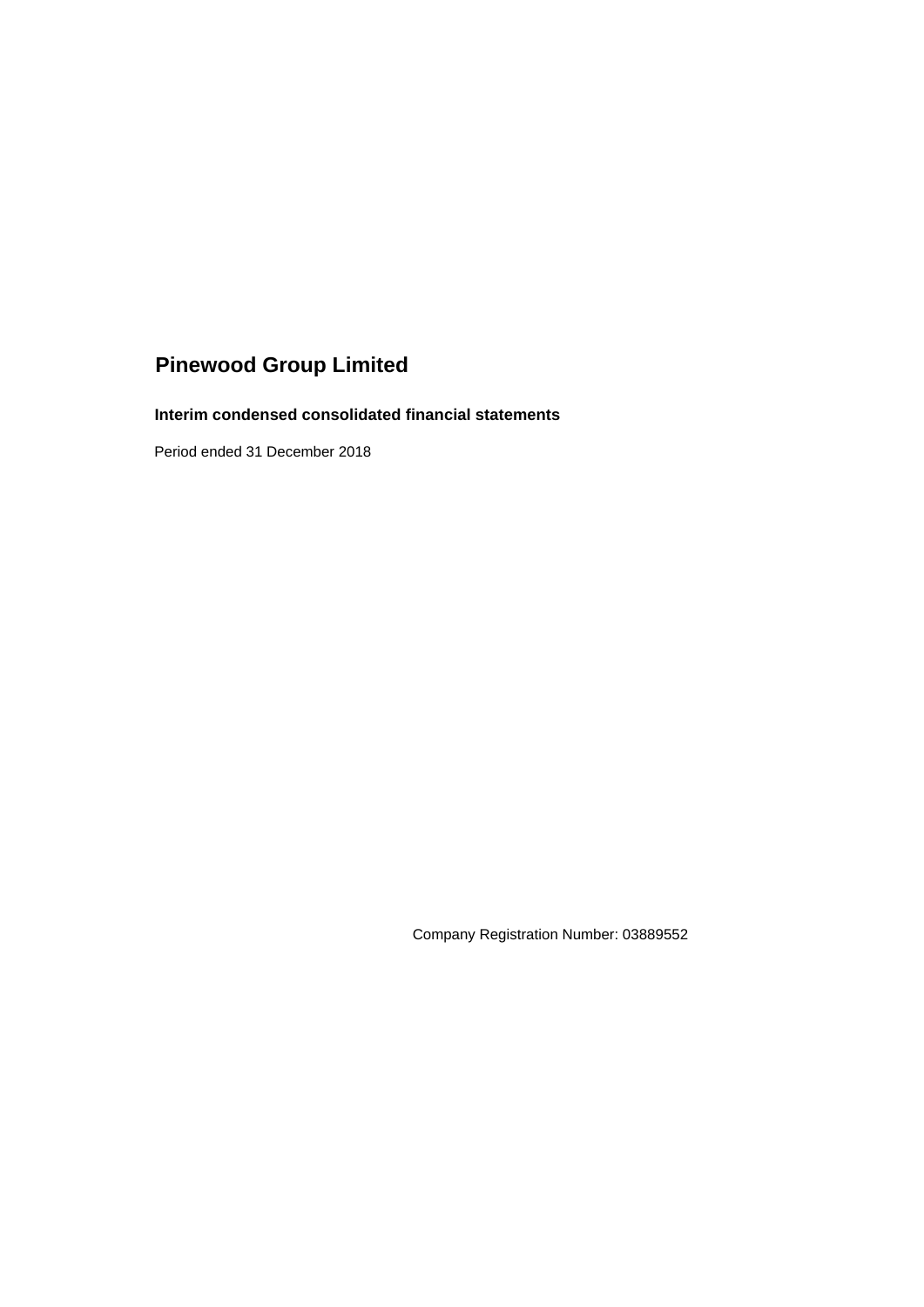# **Interim condensed consolidated financial statements**

Period ended 31 December 2018

Company Registration Number: 03889552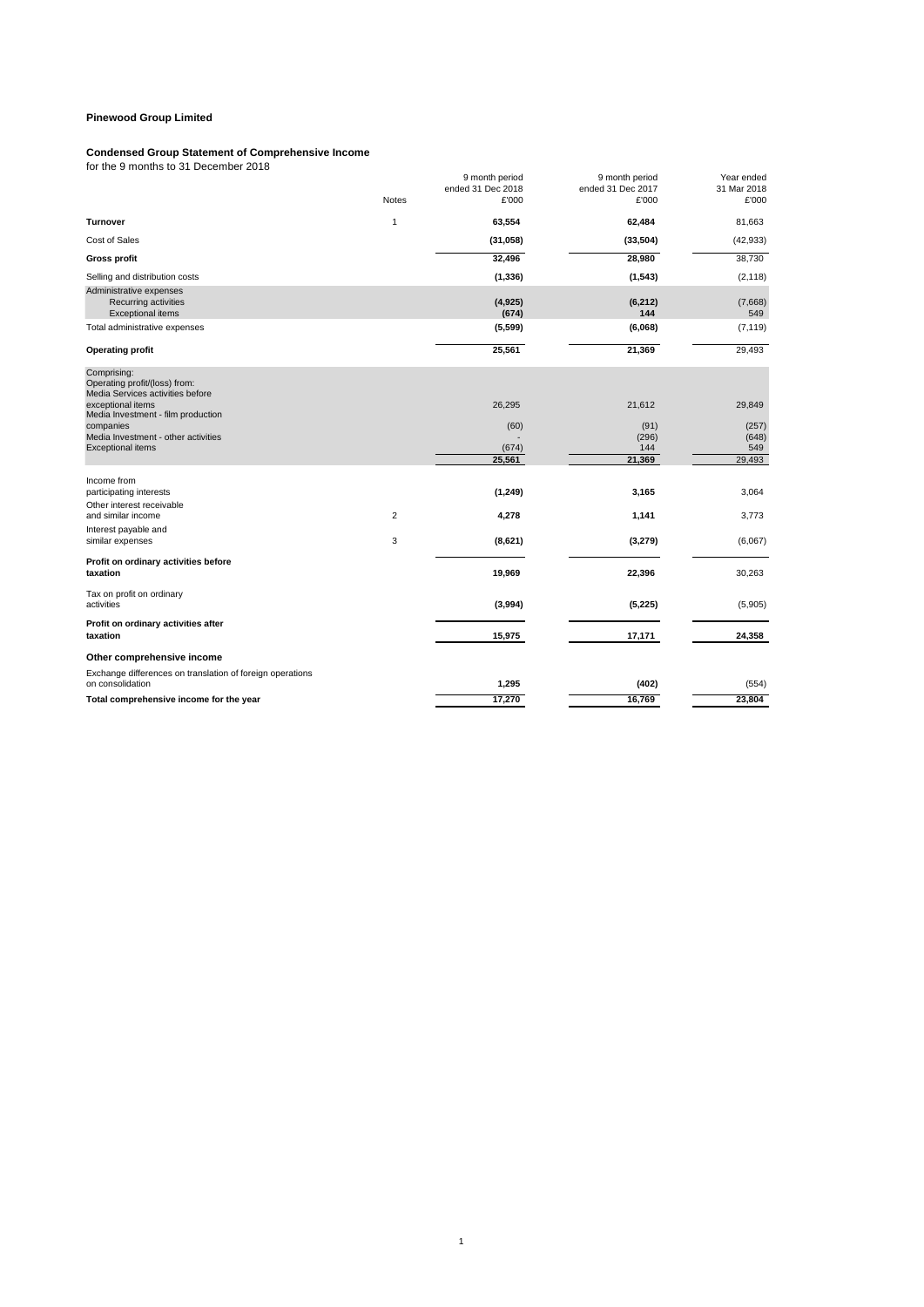#### **Condensed Group Statement of Comprehensive Income**

for the 9 months to 31 December 2018

|                                                                                  |                | 9 month period<br>ended 31 Dec 2018 | 9 month period<br>ended 31 Dec 2017 | Year ended<br>31 Mar 2018 |
|----------------------------------------------------------------------------------|----------------|-------------------------------------|-------------------------------------|---------------------------|
|                                                                                  | <b>Notes</b>   | £'000                               | £'000                               | £'000                     |
| <b>Turnover</b>                                                                  | $\mathbf{1}$   | 63,554                              | 62,484                              | 81,663                    |
| Cost of Sales                                                                    |                | (31, 058)                           | (33, 504)                           | (42, 933)                 |
| <b>Gross profit</b>                                                              |                | 32,496                              | 28,980                              | 38,730                    |
| Selling and distribution costs                                                   |                | (1, 336)                            | (1, 543)                            | (2, 118)                  |
| Administrative expenses<br>Recurring activities<br>Exceptional items             |                | (4,925)<br>(674)                    | (6, 212)<br>144                     | (7,668)<br>549            |
| Total administrative expenses                                                    |                | (5, 599)                            | (6,068)                             | (7, 119)                  |
| <b>Operating profit</b>                                                          |                | 25,561                              | 21,369                              | 29,493                    |
| Comprising:<br>Operating profit/(loss) from:<br>Media Services activities before |                |                                     |                                     |                           |
| exceptional items<br>Media Investment - film production                          |                | 26,295                              | 21,612                              | 29,849                    |
| companies                                                                        |                | (60)                                | (91)                                | (257)                     |
| Media Investment - other activities<br><b>Exceptional items</b>                  |                | (674)                               | (296)<br>144                        | (648)<br>549              |
|                                                                                  |                | 25,561                              | 21,369                              | 29,493                    |
| Income from<br>participating interests                                           |                | (1, 249)                            | 3,165                               | 3,064                     |
| Other interest receivable<br>and similar income                                  | $\overline{2}$ | 4,278                               | 1,141                               | 3,773                     |
| Interest payable and                                                             |                |                                     |                                     |                           |
| similar expenses                                                                 | 3              | (8,621)                             | (3,279)                             | (6,067)                   |
| Profit on ordinary activities before<br>taxation                                 |                | 19,969                              | 22,396                              | 30,263                    |
| Tax on profit on ordinary<br>activities                                          |                | (3,994)                             | (5, 225)                            | (5,905)                   |
| Profit on ordinary activities after<br>taxation                                  |                | 15,975                              | 17,171                              | 24,358                    |
| Other comprehensive income                                                       |                |                                     |                                     |                           |
| Exchange differences on translation of foreign operations<br>on consolidation    |                | 1,295                               | (402)                               | (554)                     |
| Total comprehensive income for the year                                          |                | 17,270                              | 16,769                              | 23,804                    |
|                                                                                  |                |                                     |                                     |                           |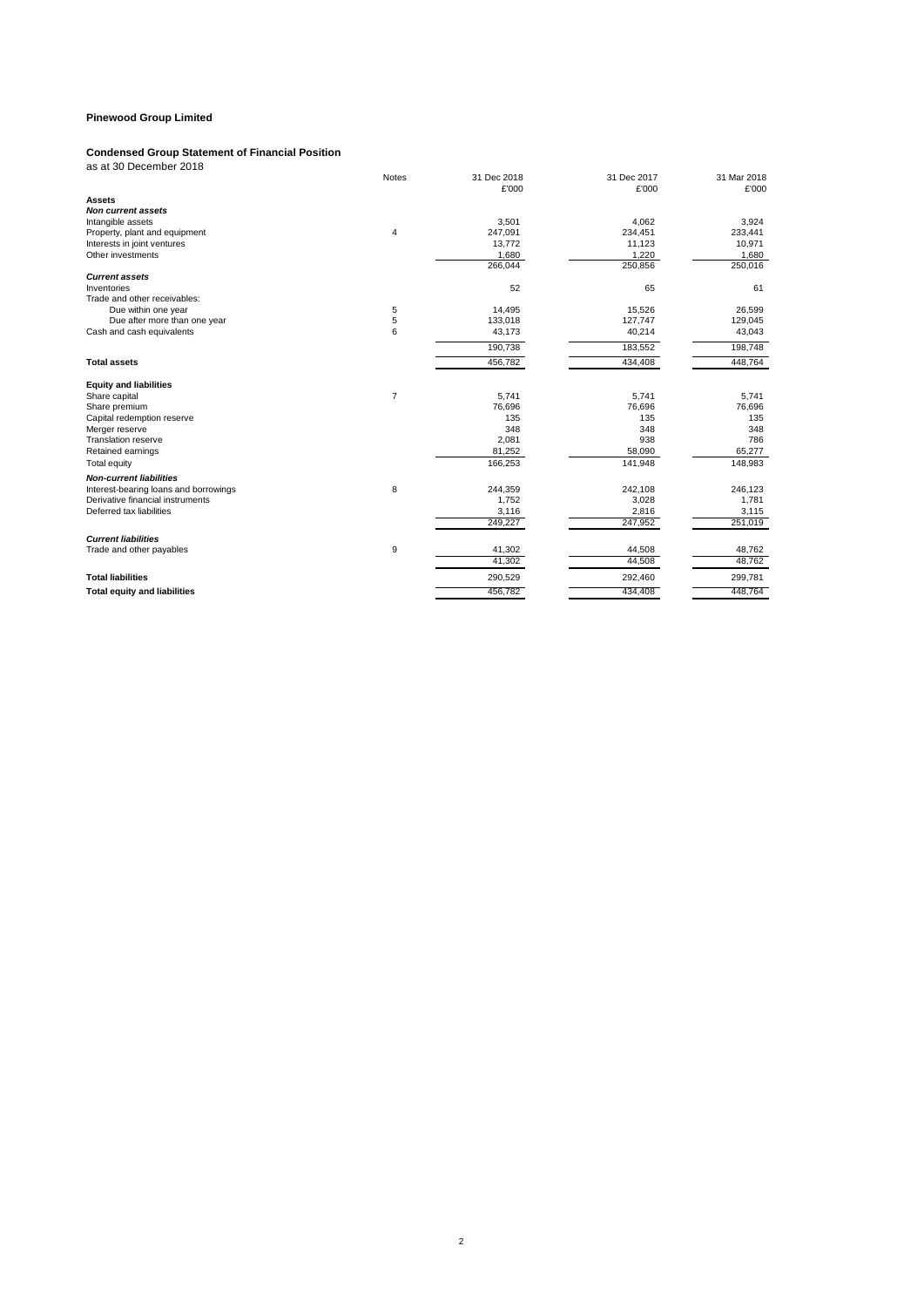#### **Condensed Group Statement of Financial Position**

| as at 30 December 2018                     |             |             |             |
|--------------------------------------------|-------------|-------------|-------------|
| <b>Notes</b>                               | 31 Dec 2018 | 31 Dec 2017 | 31 Mar 2018 |
|                                            | £'000       | £'000       | £'000       |
| <b>Assets</b>                              |             |             |             |
| <b>Non current assets</b>                  |             |             |             |
| Intangible assets                          | 3,501       | 4,062       | 3,924       |
| Property, plant and equipment<br>4         | 247,091     | 234,451     | 233,441     |
| Interests in joint ventures                | 13,772      | 11,123      | 10,971      |
| Other investments                          | 1,680       | 1,220       | 1,680       |
|                                            | 266,044     | 250,856     | 250,016     |
| <b>Current assets</b>                      |             |             |             |
| Inventories                                | 52          | 65          | 61          |
| Trade and other receivables:               |             |             |             |
| 5<br>Due within one year                   | 14,495      | 15,526      | 26,599      |
| 5<br>Due after more than one year          | 133,018     | 127,747     | 129,045     |
| 6<br>Cash and cash equivalents             | 43,173      | 40,214      | 43,043      |
|                                            | 190,738     | 183,552     | 198,748     |
| <b>Total assets</b>                        | 456.782     | 434,408     | 448,764     |
| <b>Equity and liabilities</b>              |             |             |             |
| $\overline{7}$<br>Share capital            | 5.741       | 5,741       | 5,741       |
| Share premium                              | 76,696      | 76,696      | 76,696      |
| Capital redemption reserve                 | 135         | 135         | 135         |
| Merger reserve                             | 348         | 348         | 348         |
| <b>Translation reserve</b>                 | 2,081       | 938         | 786         |
| Retained earnings                          | 81,252      | 58,090      | 65,277      |
| Total equity                               | 166,253     | 141,948     | 148,983     |
| <b>Non-current liabilities</b>             |             |             |             |
| 8<br>Interest-bearing loans and borrowings | 244,359     | 242,108     | 246,123     |
| Derivative financial instruments           | 1,752       | 3,028       | 1,781       |
| Deferred tax liabilities                   | 3,116       | 2.816       | 3,115       |
|                                            | 249,227     | 247,952     | 251,019     |
| <b>Current liabilities</b>                 |             |             |             |
| 9<br>Trade and other payables              | 41,302      | 44,508      | 48,762      |
|                                            | 41,302      | 44.508      | 48,762      |
| <b>Total liabilities</b>                   | 290,529     | 292,460     | 299,781     |

**Total liabilities** 290,529 292,460 299,781 **Total equity and liabilities** 448,764

2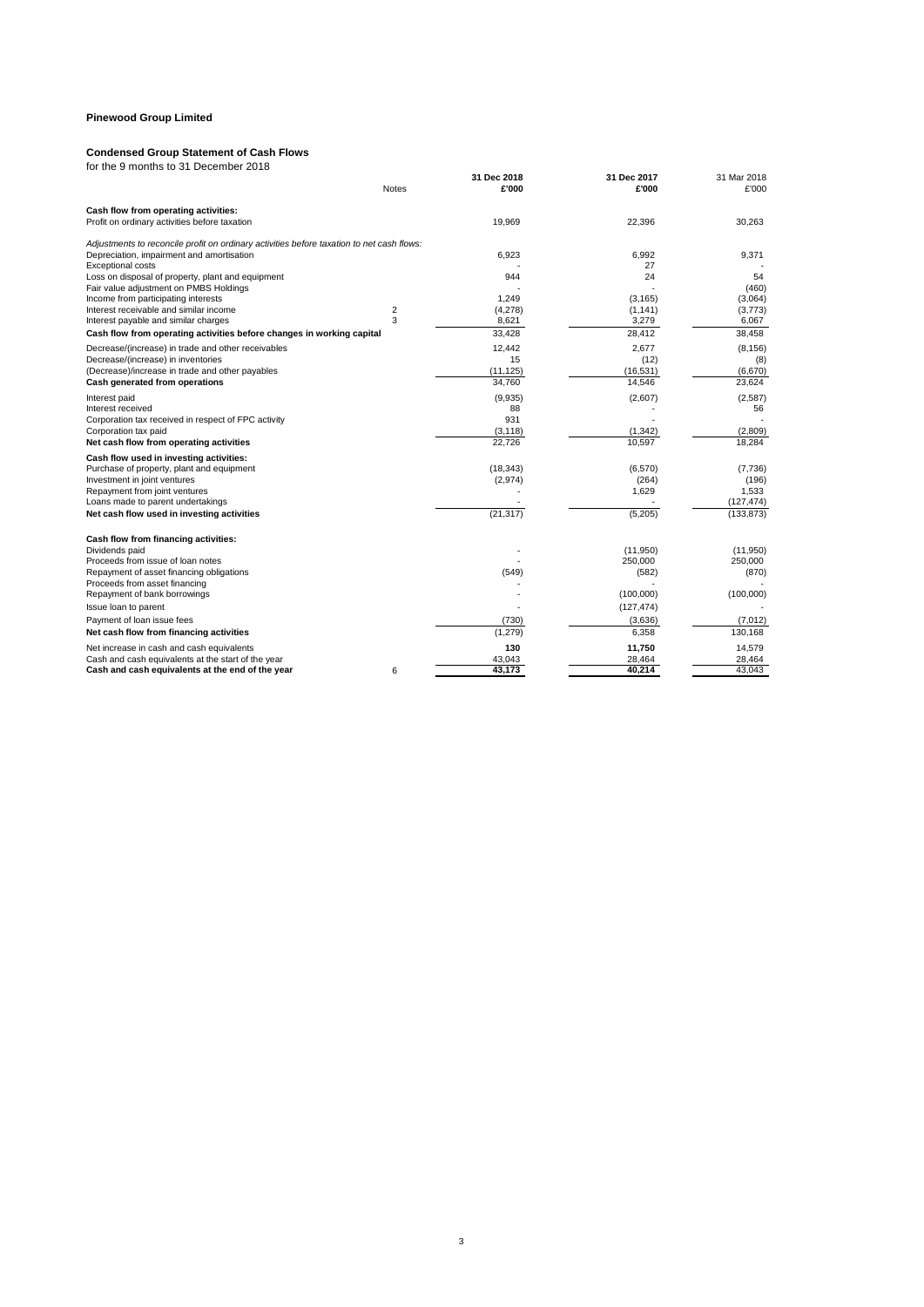#### **Condensed Group Statement of Cash Flows**

|                                                                                           | <b>Notes</b> | 31 Dec 2018<br>£'000 | 31 Dec 2017<br>£'000 | 31 Mar 2018<br>£'000 |
|-------------------------------------------------------------------------------------------|--------------|----------------------|----------------------|----------------------|
|                                                                                           |              |                      |                      |                      |
| Cash flow from operating activities:<br>Profit on ordinary activities before taxation     |              | 19,969               | 22,396               | 30,263               |
|                                                                                           |              |                      |                      |                      |
| Adjustments to reconcile profit on ordinary activities before taxation to net cash flows: |              |                      |                      |                      |
| Depreciation, impairment and amortisation                                                 |              | 6.923                | 6.992                | 9,371                |
| <b>Exceptional costs</b>                                                                  |              |                      | 27                   |                      |
| Loss on disposal of property, plant and equipment                                         |              | 944                  | 24                   | 54                   |
| Fair value adjustment on PMBS Holdings                                                    |              |                      |                      | (460)                |
| Income from participating interests<br>Interest receivable and similar income             | 2            | 1.249<br>(4,278)     | (3, 165)<br>(1, 141) | (3,064)<br>(3,773)   |
| Interest payable and similar charges                                                      | 3            | 8,621                | 3,279                | 6,067                |
| Cash flow from operating activities before changes in working capital                     |              | 33,428               | 28,412               | 38,458               |
|                                                                                           |              |                      |                      |                      |
| Decrease/(increase) in trade and other receivables<br>Decrease/(increase) in inventories  |              | 12,442<br>15         | 2,677<br>(12)        | (8, 156)<br>(8)      |
| (Decrease)/increase in trade and other payables                                           |              | (11, 125)            | (16, 531)            | (6,670)              |
| Cash generated from operations                                                            |              | 34,760               | 14,546               | 23,624               |
|                                                                                           |              |                      |                      |                      |
| Interest paid                                                                             |              | (9,935)<br>88        | (2,607)              | (2,587)<br>56        |
| Interest received<br>Corporation tax received in respect of FPC activity                  |              | 931                  |                      |                      |
| Corporation tax paid                                                                      |              | (3, 118)             | (1, 342)             | (2,809)              |
| Net cash flow from operating activities                                                   |              | 22.726               | 10.597               | 18.284               |
| Cash flow used in investing activities:                                                   |              |                      |                      |                      |
| Purchase of property, plant and equipment                                                 |              | (18, 343)            | (6,570)              | (7,736)              |
| Investment in joint ventures                                                              |              | (2,974)              | (264)                | (196)                |
| Repayment from joint ventures                                                             |              |                      | 1.629                | 1,533                |
| Loans made to parent undertakings                                                         |              |                      |                      | (127, 474)           |
| Net cash flow used in investing activities                                                |              | (21, 317)            | (5,205)              | (133, 873)           |
|                                                                                           |              |                      |                      |                      |
| Cash flow from financing activities:                                                      |              |                      |                      |                      |
| Dividends paid                                                                            |              |                      | (11,950)             | (11,950)             |
| Proceeds from issue of loan notes                                                         |              |                      | 250,000              | 250,000              |
| Repayment of asset financing obligations                                                  |              | (549)                | (582)                | (870)                |
| Proceeds from asset financing<br>Repayment of bank borrowings                             |              |                      | (100,000)            |                      |
|                                                                                           |              |                      |                      | (100,000)            |
| Issue loan to parent                                                                      |              |                      | (127, 474)           |                      |
| Payment of loan issue fees                                                                |              | (730)                | (3,636)              | (7,012)              |
| Net cash flow from financing activities                                                   |              | (1, 279)             | 6,358                | 130,168              |
| Net increase in cash and cash equivalents                                                 |              | 130                  | 11,750               | 14,579               |
| Cash and cash equivalents at the start of the year                                        |              | 43,043               | 28,464               | 28,464               |
| Cash and cash equivalents at the end of the year                                          | 6            | 43,173               | 40,214               | 43,043               |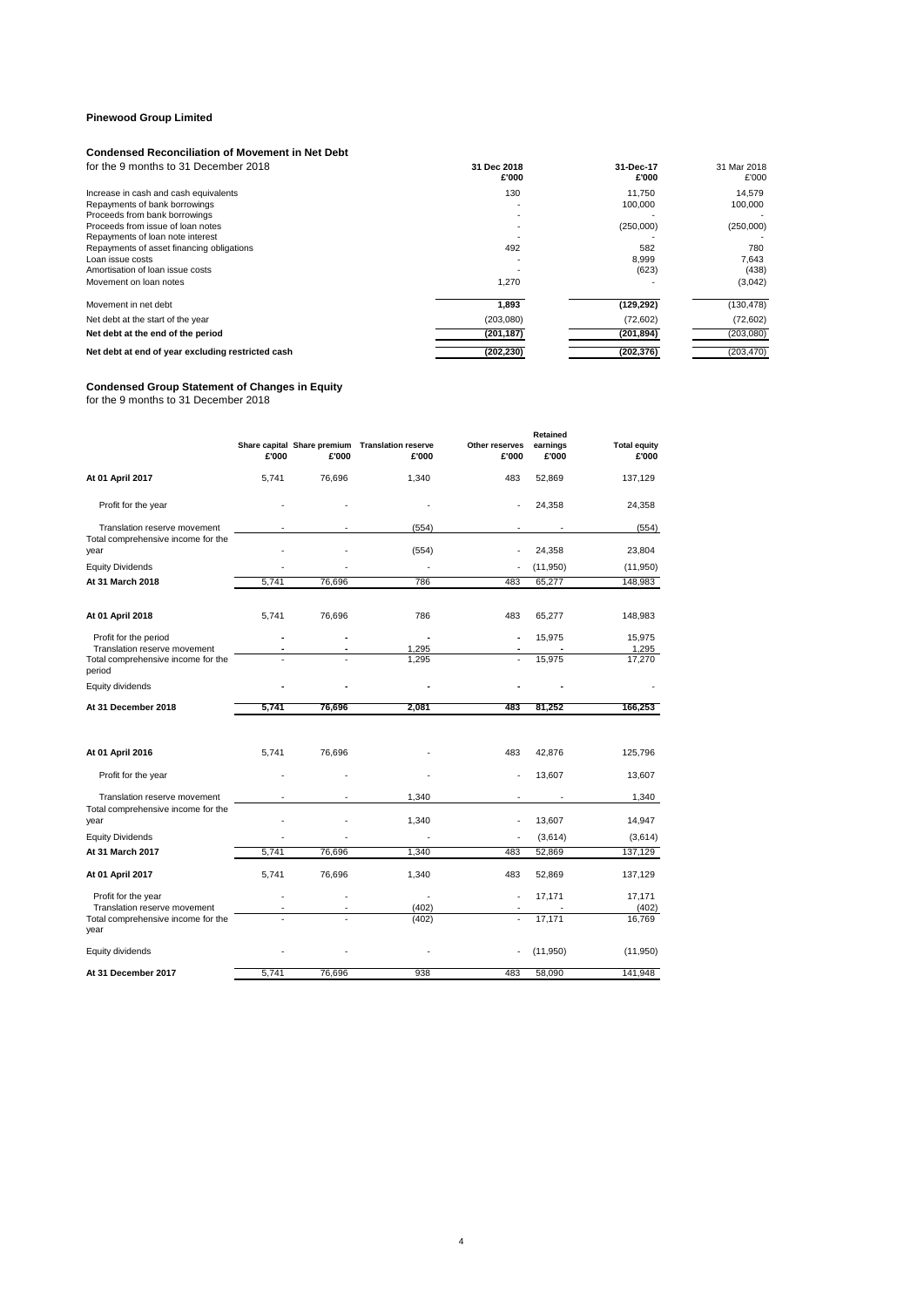#### **Condensed Reconciliation of Movement in Net Debt**

| for the 9 months to 31 December 2018              | 31 Dec 2018<br>£'000 | 31-Dec-17<br>£'000 | 31 Mar 2018<br>£'000 |
|---------------------------------------------------|----------------------|--------------------|----------------------|
| Increase in cash and cash equivalents             | 130                  | 11.750             | 14,579               |
| Repayments of bank borrowings                     |                      | 100.000            | 100,000              |
| Proceeds from bank borrowings                     |                      |                    |                      |
| Proceeds from issue of loan notes                 |                      | (250,000)          | (250,000)            |
| Repayments of loan note interest                  |                      |                    |                      |
| Repayments of asset financing obligations         | 492                  | 582                | 780                  |
| Loan issue costs                                  |                      | 8.999              | 7,643                |
| Amortisation of Ioan issue costs                  |                      | (623)              | (438)                |
| Movement on loan notes                            | 1,270                |                    | (3,042)              |
| Movement in net debt                              | 1,893                | (129, 292)         | (130, 478)           |
| Net debt at the start of the year                 | (203,080)            | (72,602)           | (72,602)             |
| Net debt at the end of the period                 | (201, 187)           | (201, 894)         | (203,080)            |
| Net debt at end of year excluding restricted cash | (202, 230)           | (202, 376)         | (203, 470)           |

#### **Condensed Group Statement of Changes in Equity**

for the 9 months to 31 December 2018

|                                                                            | £'000          | £'000  | Share capital Share premium Translation reserve<br>£'000 | Other reserves<br>£'000 | Retained<br>earnings<br>£'000 | <b>Total equity</b><br>£'000 |
|----------------------------------------------------------------------------|----------------|--------|----------------------------------------------------------|-------------------------|-------------------------------|------------------------------|
| At 01 April 2017                                                           | 5,741          | 76,696 | 1,340                                                    | 483                     | 52,869                        | 137,129                      |
| Profit for the year                                                        |                |        |                                                          |                         | 24,358                        | 24,358                       |
| Translation reserve movement<br>Total comprehensive income for the<br>year |                |        | (554)<br>(554)                                           |                         | 24,358                        | (554)<br>23,804              |
| <b>Equity Dividends</b>                                                    |                |        |                                                          |                         | (11,950)                      | (11, 950)                    |
| At 31 March 2018                                                           | 5,741          | 76,696 | 786                                                      | 483                     | 65,277                        | 148,983                      |
| At 01 April 2018                                                           | 5,741          | 76,696 | 786                                                      | 483                     | 65,277                        | 148,983                      |
| Profit for the period<br>Translation reserve movement                      | $\overline{a}$ |        | 1,295                                                    |                         | 15,975                        | 15,975<br>1,295              |
| Total comprehensive income for the<br>period                               |                |        | 1.295                                                    |                         | 15,975                        | 17.270                       |
| Equity dividends                                                           |                |        |                                                          |                         |                               |                              |
| At 31 December 2018                                                        | 5,741          | 76,696 | 2,081                                                    | 483                     | 81,252                        | 166,253                      |
| At 01 April 2016                                                           | 5,741          | 76,696 |                                                          | 483                     | 42,876                        | 125,796                      |
| Profit for the year                                                        |                |        |                                                          |                         | 13,607                        | 13,607                       |
| Translation reserve movement<br>Total comprehensive income for the         |                |        | 1,340                                                    |                         |                               | 1,340                        |
| year                                                                       |                |        | 1,340                                                    | $\ddot{\phantom{1}}$    | 13,607                        | 14,947                       |
| <b>Equity Dividends</b>                                                    |                |        |                                                          |                         | (3,614)                       | (3,614)                      |
| At 31 March 2017                                                           | 5,741          | 76,696 | 1,340                                                    | 483                     | 52,869                        | 137,129                      |
| At 01 April 2017                                                           | 5,741          | 76,696 | 1,340                                                    | 483                     | 52,869                        | 137,129                      |
| Profit for the year<br>Translation reserve movement                        |                |        | (402)                                                    |                         | 17,171                        | 17,171<br>(402)              |
| Total comprehensive income for the<br>year                                 |                |        | (402)                                                    |                         | 17,171                        | 16,769                       |
| Equity dividends                                                           |                |        |                                                          |                         | (11,950)                      | (11,950)                     |
| At 31 December 2017                                                        | 5.741          | 76,696 | 938                                                      | 483                     | 58,090                        | 141,948                      |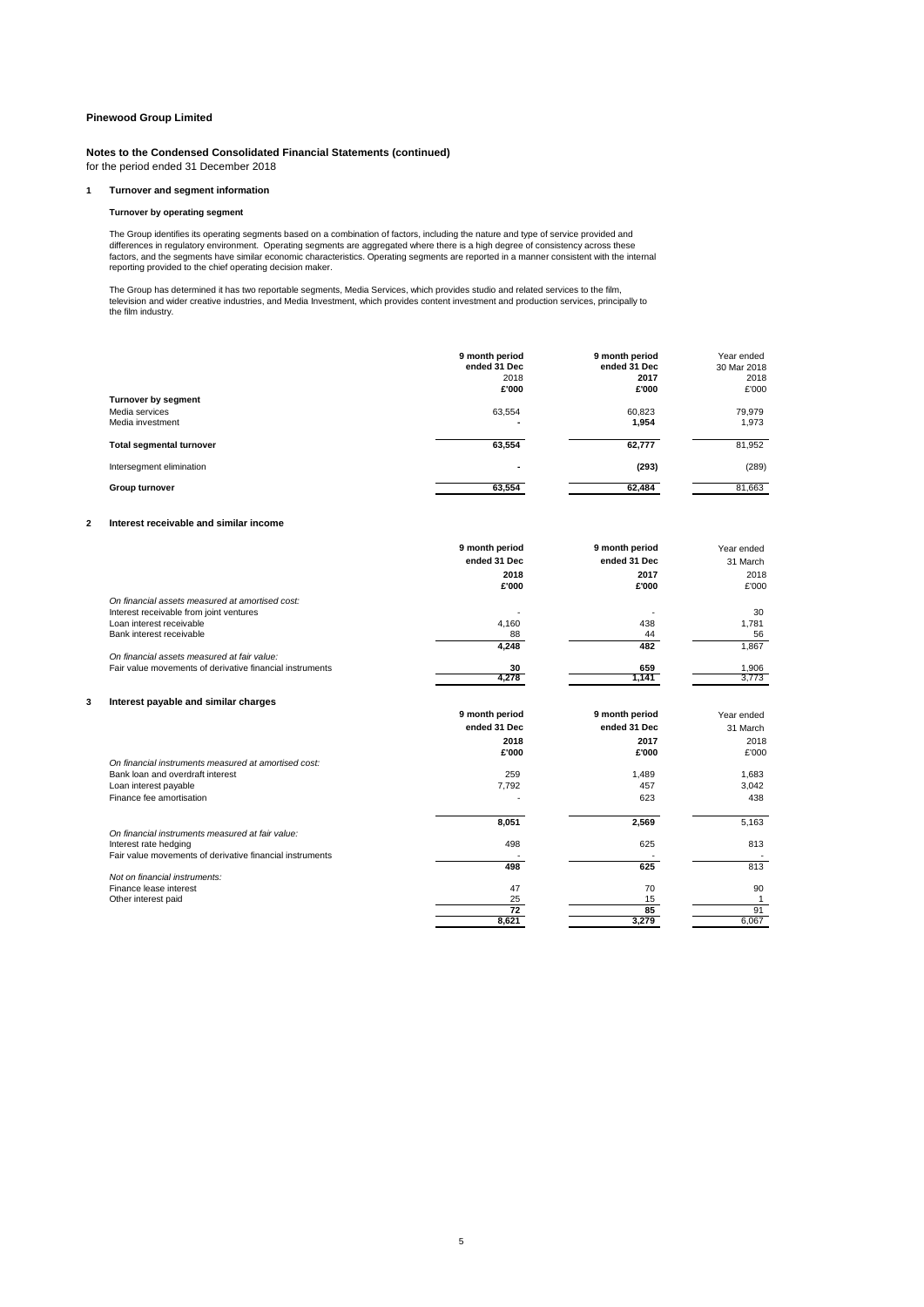**Notes to the Condensed Consolidated Financial Statements (continued)** for the period ended 31 December 2018

#### **1 Turnover and segment information**

#### **Turnover by operating segment**

The Group identifies its operating segments based on a combination of factors, including the nature and type of service provided and<br>differences in regulatory environment. Operating segments are aggregated where there is a reporting provided to the chief operating decision maker.

The Group has determined it has two reportable segments, Media Services, which provides studio and related services to the film,<br>television and wider creative industries, and Media Investment, which provides content invest the film industry.

|                                                           | 9 month period<br>ended 31 Dec<br>2018<br>£'000 | 9 month period<br>ended 31 Dec<br>2017<br>£'000 | Year ended<br>30 Mar 2018<br>2018<br>£'000 |
|-----------------------------------------------------------|-------------------------------------------------|-------------------------------------------------|--------------------------------------------|
| Turnover by segment<br>Media services<br>Media investment | 63,554<br>$\overline{\phantom{a}}$              | 60.823<br>1.954                                 | 79,979<br>1,973                            |
| <b>Total segmental turnover</b>                           | 63,554                                          | 62,777                                          | 81,952                                     |
| Intersegment elimination                                  | $\blacksquare$                                  | (293)                                           | (289)                                      |
| Group turnover                                            | 63,554                                          | 62,484                                          | 81,663                                     |

#### **2 Interest receivable and similar income**

|   |                                                          | 9 month period  | 9 month period | Year ended |
|---|----------------------------------------------------------|-----------------|----------------|------------|
|   |                                                          | ended 31 Dec    | ended 31 Dec   | 31 March   |
|   |                                                          | 2018            | 2017           | 2018       |
|   |                                                          | £'000           | £'000          | £'000      |
|   | On financial assets measured at amortised cost:          |                 |                |            |
|   | Interest receivable from joint ventures                  |                 |                | 30         |
|   | Loan interest receivable                                 | 4,160           | 438            | 1,781      |
|   | Bank interest receivable                                 | 88              | 44             | 56         |
|   |                                                          | 4,248           | 482            | 1,867      |
|   | On financial assets measured at fair value:              |                 |                |            |
|   | Fair value movements of derivative financial instruments | 30              | 659            | 1,906      |
|   |                                                          | 4,278           | 1.141          | 3.773      |
| 3 | Interest payable and similar charges                     |                 |                |            |
|   |                                                          | 9 month period  | 9 month period | Year ended |
|   |                                                          | ended 31 Dec    | ended 31 Dec   | 31 March   |
|   |                                                          |                 |                |            |
|   |                                                          | 2018            | 2017           | 2018       |
|   |                                                          | £'000           | £'000          | £'000      |
|   | On financial instruments measured at amortised cost:     |                 |                |            |
|   | Bank loan and overdraft interest                         | 259             | 1,489          | 1,683      |
|   | Loan interest payable                                    | 7,792           | 457            | 3,042      |
|   | Finance fee amortisation                                 |                 | 623            | 438        |
|   |                                                          | 8,051           | 2,569          | 5,163      |
|   | On financial instruments measured at fair value:         |                 |                |            |
|   | Interest rate hedging                                    | 498             | 625            | 813        |
|   | Fair value movements of derivative financial instruments |                 |                |            |
|   |                                                          | 498             | 625            | 813        |
|   | Not on financial instruments:                            |                 |                |            |
|   | Finance lease interest                                   | 47              | 70             | 90         |
|   | Other interest paid                                      | 25              | 15             | 1          |
|   |                                                          | $\overline{72}$ | 85             | 91         |
|   |                                                          | 8.621           | 3.279          | 6.067      |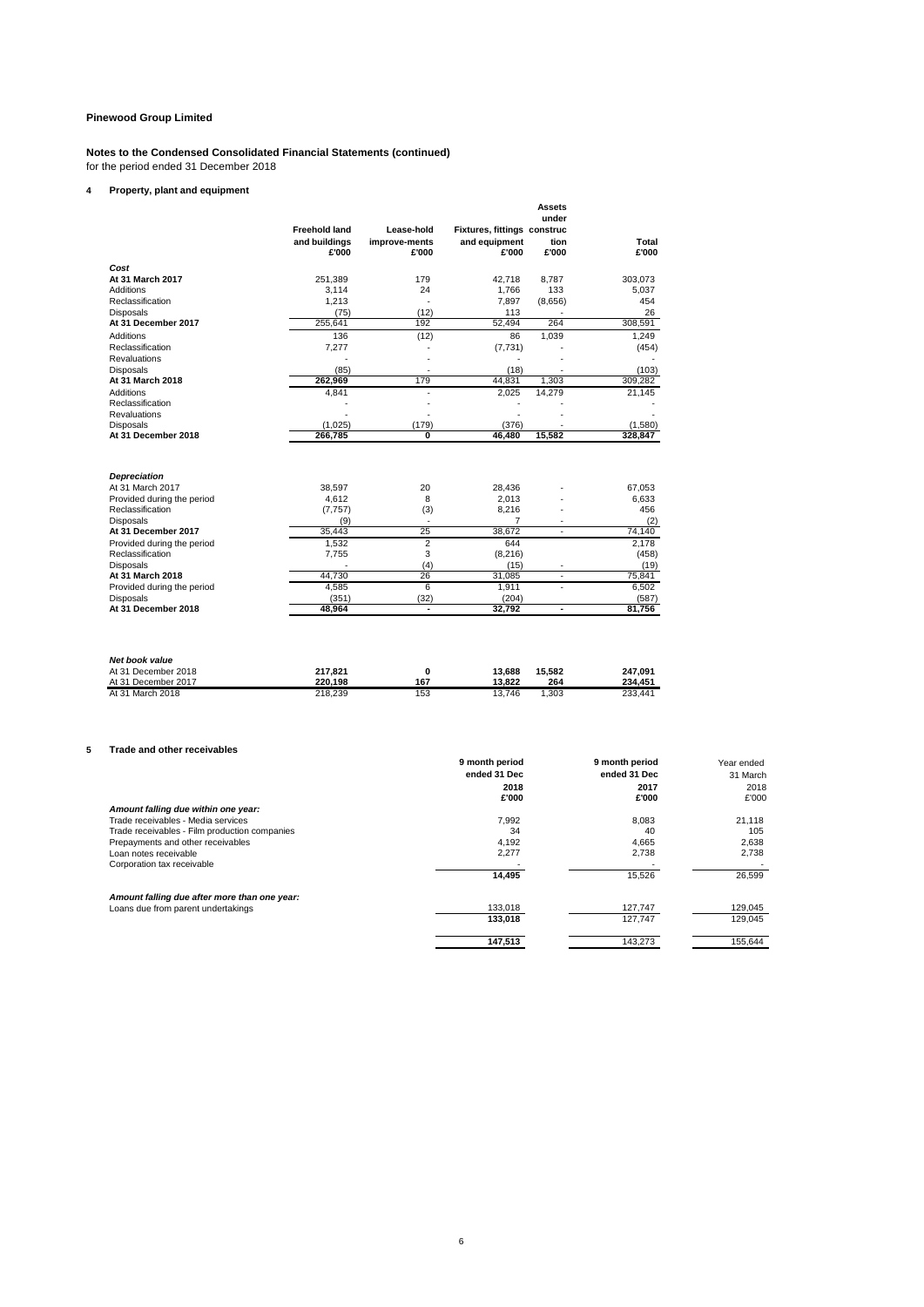#### **Notes to the Condensed Consolidated Financial Statements (continued)** for the period ended 31 December 2018

#### **4 Property, plant and equipment**

|   |                                                                                    | <b>Freehold land</b><br>and buildings<br>£'000 | Lease-hold<br>improve-ments<br>£'000 | Fixtures, fittings construc<br>and equipment<br>£'000 | <b>Assets</b><br>under<br>tion<br>£'000 | Total<br>£'000                |              |
|---|------------------------------------------------------------------------------------|------------------------------------------------|--------------------------------------|-------------------------------------------------------|-----------------------------------------|-------------------------------|--------------|
|   | Cost                                                                               |                                                |                                      |                                                       |                                         |                               |              |
|   | At 31 March 2017                                                                   | 251,389                                        | 179                                  | 42,718                                                | 8,787                                   | 303,073                       |              |
|   | <b>Additions</b>                                                                   | 3,114                                          | 24                                   | 1,766                                                 | 133                                     | 5,037                         |              |
|   | Reclassification                                                                   | 1,213                                          |                                      | 7,897                                                 | (8,656)                                 | 454                           |              |
|   | <b>Disposals</b><br>At 31 December 2017                                            | (75)<br>255,641                                | (12)<br>192                          | 113<br>52,494                                         | 264                                     | 26<br>308,591                 |              |
|   |                                                                                    | 136                                            | (12)                                 | 86                                                    | 1,039                                   | 1,249                         |              |
|   | Additions<br>Reclassification                                                      | 7,277                                          |                                      | (7, 731)                                              |                                         | (454)                         |              |
|   | <b>Revaluations</b>                                                                |                                                | ÷,                                   | $\overline{\phantom{a}}$                              | $\overline{\phantom{a}}$                | $\sim$                        |              |
|   | <b>Disposals</b>                                                                   | (85)                                           |                                      | (18)                                                  |                                         | (103)                         |              |
|   | At 31 March 2018                                                                   | 262,969                                        | 179                                  | 44,831                                                | 1,303                                   | 309,282                       |              |
|   | <b>Additions</b>                                                                   | 4,841                                          |                                      | 2,025                                                 | 14,279                                  | 21,145                        |              |
|   | Reclassification                                                                   |                                                |                                      |                                                       |                                         |                               |              |
|   | Revaluations                                                                       |                                                |                                      | ÷.                                                    | ÷.                                      |                               |              |
|   | <b>Disposals</b>                                                                   | (1,025)                                        | (179)                                | (376)                                                 |                                         | (1,580)                       |              |
|   | At 31 December 2018                                                                | 266,785                                        | 0                                    | 46,480                                                | 15,582                                  | 328,847                       |              |
|   |                                                                                    |                                                |                                      |                                                       |                                         |                               |              |
|   | <b>Depreciation</b>                                                                |                                                |                                      |                                                       |                                         |                               |              |
|   | At 31 March 2017                                                                   | 38,597                                         | 20                                   | 28,436                                                |                                         | 67,053                        |              |
|   | Provided during the period                                                         | 4,612                                          | 8                                    | 2,013<br>8,216                                        |                                         | 6,633<br>456                  |              |
|   | Reclassification<br><b>Disposals</b>                                               | (7, 757)<br>(9)                                | (3)                                  | $\overline{7}$                                        |                                         | (2)                           |              |
|   | At 31 December 2017                                                                | 35,443                                         | 25                                   | 38,672                                                | $\sim$                                  | 74,140                        |              |
|   | Provided during the period                                                         | 1,532                                          | 2                                    | 644                                                   |                                         | 2,178                         |              |
|   | Reclassification                                                                   | 7,755                                          | 3                                    | (8, 216)                                              |                                         | (458)                         |              |
|   | <b>Disposals</b>                                                                   |                                                | (4)                                  | (15)                                                  |                                         | (19)                          |              |
|   | At 31 March 2018                                                                   | 44,730                                         | 26                                   | 31,085                                                | $\sim$                                  | 75,841                        |              |
|   | Provided during the period                                                         | 4,585                                          | $6\overline{6}$                      | 1,911                                                 | ÷,                                      | 6,502                         |              |
|   | <b>Disposals</b>                                                                   | (351)                                          | (32)                                 | (204)                                                 |                                         | (587)                         |              |
|   | At 31 December 2018                                                                | 48,964                                         | $\overline{\phantom{a}}$             | 32,792                                                | $\overline{\phantom{a}}$                | 81,756                        |              |
|   | Net book value<br>At 31 December 2018<br>At 31 December 2017<br>At 31 March 2018   | 217,821<br>220,198<br>218,239                  | 0<br>167<br>153                      | 13,688<br>13,822<br>13,746                            | 15,582<br>264<br>1,303                  | 247,091<br>234,451<br>233,441 |              |
| 5 | Trade and other receivables                                                        |                                                |                                      | 9 month period                                        |                                         | 9 month period                | Year ended   |
|   |                                                                                    |                                                |                                      | ended 31 Dec                                          |                                         | ended 31 Dec                  | 31 March     |
|   |                                                                                    |                                                |                                      | 2018                                                  |                                         | 2017                          | 2018         |
|   |                                                                                    |                                                |                                      | £'000                                                 |                                         | £'000                         | £'000        |
|   | Amount falling due within one year:                                                |                                                |                                      |                                                       |                                         |                               |              |
|   | Trade receivables - Media services                                                 |                                                |                                      | 7,992                                                 |                                         | 8,083                         | 21,118       |
|   | Trade receivables - Film production companies                                      |                                                |                                      | 34<br>4,192                                           |                                         | 40<br>4,665                   | 105<br>2,638 |
|   | Prepayments and other receivables<br>Loan notes receivable                         |                                                |                                      | 2,277                                                 |                                         | 2,738                         | 2,738        |
|   | Corporation tax receivable                                                         |                                                |                                      |                                                       |                                         |                               |              |
|   |                                                                                    |                                                |                                      | 14,495                                                |                                         | 15,526                        | 26,599       |
|   |                                                                                    |                                                |                                      |                                                       |                                         |                               |              |
|   | Amount falling due after more than one year:<br>Loans due from parent undertakings |                                                |                                      | 133.018                                               |                                         | 127.747                       | 129.045      |
|   |                                                                                    |                                                |                                      | 133,018                                               |                                         | 127,747                       | 129,045      |
|   |                                                                                    |                                                |                                      |                                                       |                                         |                               |              |

**147,513** 143,273 155,644